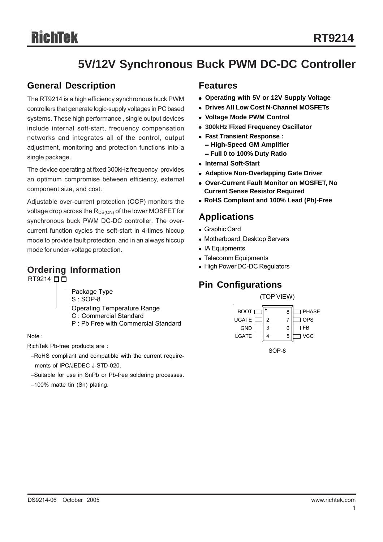# **5V/12V Synchronous Buck PWM DC-DC Controller**

### **General Description**

The RT9214 is a high efficiency synchronous buck PWM controllers that generate logic-supply voltages in PC based systems. These high performance , single output devices include internal soft-start, frequency compensation networks and integrates all of the control, output adjustment, monitoring and protection functions into a single package.

The device operating at fixed 300kHz frequency provides an optimum compromise between efficiency, external component size, and cost.

Adjustable over-current protection (OCP) monitors the voltage drop across the R<sub>DS(ON)</sub> of the lower MOSFET for synchronous buck PWM DC-DC controller. The overcurrent function cycles the soft-start in 4-times hiccup mode to provide fault protection, and in an always hiccup mode for under-voltage protection.

### **Ordering Information**

RT9214  $\Box$ 

- S : SOP-8
- Operating Temperature Range
- C : Commercial Standard
- P : Pb Free with Commercial Standard

Note :

RichTek Pb-free products are :

- −RoHS compliant and compatible with the current require ments of IPC/JEDEC J-STD-020.
- −Suitable for use in SnPb or Pb-free soldering processes.
- −100% matte tin (Sn) plating.

### **Features**

- <sup>z</sup> **Operating with 5V or 12V Supply Voltage**
- **Drives All Low Cost N-Channel MOSFETs**
- <sup>z</sup> **Voltage Mode PWM Control**
- <sup>z</sup> **300kHz Fixed Frequency Oscillator**
- <sup>z</sup> **Fast Transient Response :** − **High-Speed GM Amplifier** − **Full 0 to 100% Duty Ratio**
- <sup>z</sup> **Internal Soft-Start**
- **Adaptive Non-Overlapping Gate Driver**
- <sup>z</sup> **Over-Current Fault Monitor on MOSFET, No Current Sense Resistor Required**
- <sup>z</sup> **RoHS Compliant and 100% Lead (Pb)-Free**

### **Applications**

- Graphic Card
- Motherboard, Desktop Servers
- IA Equipments
- Telecomm Equipments
- High Power DC-DC Regulators

# **Pin Configurations**

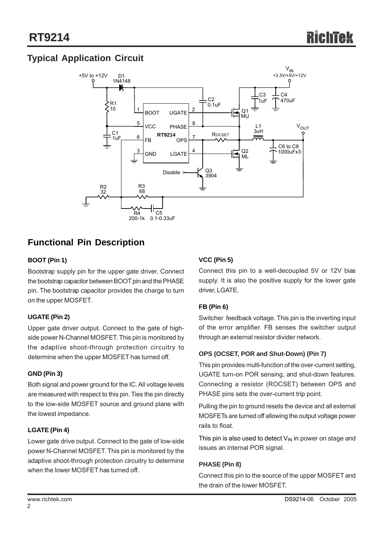### **Typical Application Circuit**



### **Functional Pin Description**

### **BOOT (Pin 1)**

Bootstrap supply pin for the upper gate driver. Connect the bootstrap capacitor between BOOT pin and the PHASE pin. The bootstrap capacitor provides the charge to turn on the upper MOSFET.

### **UGATE (Pin 2)**

Upper gate driver output. Connect to the gate of highside power N-Channel MOSFET. This pin is monitored by the adaptive shoot-through protection circuitry to determine when the upper MOSFET has turned off.

### **GND (Pin 3)**

Both signal and power ground for the IC. All voltage levels are measured with respect to this pin. Ties the pin directly to the low-side MOSFET source and ground plane with the lowest impedance.

### **LGATE (Pin 4)**

Lower gate drive output. Connect to the gate of low-side power N-Channel MOSFET. This pin is monitored by the adaptive shoot-through protection circuitry to determine when the lower MOSFET has turned off.

### **VCC (Pin 5)**

Connect this pin to a well-decoupled 5V or 12V bias supply. It is also the positive supply for the lower gate driver, LGATE.

### **FB (Pin 6)**

Switcher feedback voltage. This pin is the inverting input of the error amplifier. FB senses the switcher output through an external resistor divider network.

### **OPS (OCSET, POR and Shut-Down) (Pin 7)**

This pin provides multi-function of the over-current setting, UGATE turn-on POR sensing, and shut-down features. Connecting a resistor (ROCSET) between OPS and PHASE pins sets the over-current trip point.

Pulling the pin to ground resets the device and all external MOSFETs are turned off allowing the output voltage power rails to float.

This pin is also used to detect  $V_{\text{IN}}$  in power on stage and issues an internal POR signal.

### **PHASE (Pin 8)**

Connect this pin to the source of the upper MOSFET and the drain of the lower MOSFET.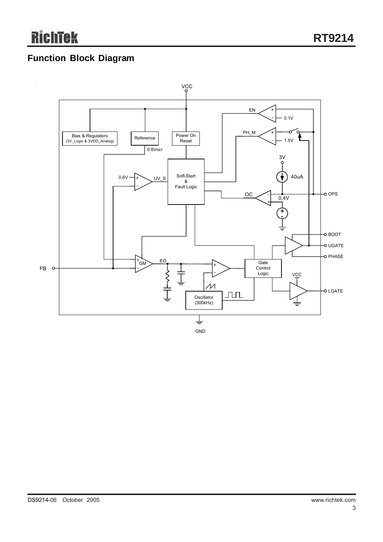### **Function Block Diagram**

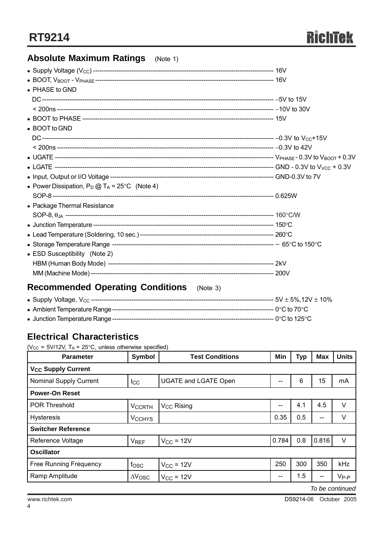### **Absolute Maximum Ratings** (Note 1)

| $\bullet$ PHASE to GND                                  |  |
|---------------------------------------------------------|--|
|                                                         |  |
|                                                         |  |
|                                                         |  |
| • BOOT to GND                                           |  |
|                                                         |  |
|                                                         |  |
|                                                         |  |
|                                                         |  |
|                                                         |  |
| • Power Dissipation, $P_D @ T_A = 25^{\circ}C$ (Note 4) |  |
|                                                         |  |
| • Package Thermal Resistance                            |  |
|                                                         |  |
|                                                         |  |
|                                                         |  |
|                                                         |  |
| • ESD Susceptibility (Note 2)                           |  |
|                                                         |  |
|                                                         |  |
|                                                         |  |

### **Recommended Operating Conditions** (Note 3)

|  | ----- 5V ± 5%,12V ± 10% |
|--|-------------------------|
|  |                         |
|  |                         |

### **Electrical Characteristics**

( $V_{CC}$  = 5V/12V, T<sub>A</sub> = 25°C, unless otherwise specified)

| <b>Parameter</b>                     | <b>Symbol</b>            | <b>Test Conditions</b>      | Min   | <b>Typ</b> | <b>Max</b> | <b>Units</b> |  |
|--------------------------------------|--------------------------|-----------------------------|-------|------------|------------|--------------|--|
| <b>V<sub>CC</sub> Supply Current</b> |                          |                             |       |            |            |              |  |
| <b>Nominal Supply Current</b>        | <b>I</b> cc              | <b>UGATE and LGATE Open</b> | --    | 6          | 15         | mA           |  |
| <b>Power-On Reset</b>                |                          |                             |       |            |            |              |  |
| <b>POR Threshold</b>                 | <b>VCCRTH</b>            | V <sub>CC</sub> Rising      | --    | 4.1        | 4.5        | V            |  |
| <b>Hysteresis</b>                    | <b>V<sub>CCHYS</sub></b> |                             | 0.35  | 0.5        | $-$        | V            |  |
| <b>Switcher Reference</b>            |                          |                             |       |            |            |              |  |
| Reference Voltage                    | <b>V<sub>REF</sub></b>   | $V_{CC}$ = 12V              | 0.784 | 0.8        | 0.816      | V            |  |
| <b>Oscillator</b>                    |                          |                             |       |            |            |              |  |
| <b>Free Running Frequency</b>        | fosc                     | $V_{CC}$ = 12V              | 250   | 300        | 350        | kHz          |  |
| Ramp Amplitude                       | $\Delta V_{\rm{OSC}}$    | $V_{CC}$ = 12V              | --    | 1.5        | --         | $V_{P-P}$    |  |

*To be continued*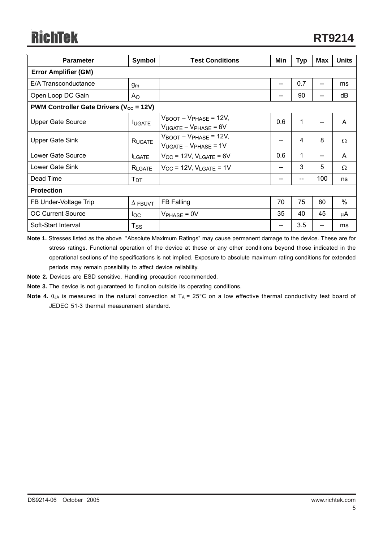| <b>Parameter</b>                                               | Symbol         | <b>Test Conditions</b>                                                      | Min                      | <b>Typ</b>   | <b>Max</b> | <b>Units</b> |  |
|----------------------------------------------------------------|----------------|-----------------------------------------------------------------------------|--------------------------|--------------|------------|--------------|--|
| <b>Error Amplifier (GM)</b>                                    |                |                                                                             |                          |              |            |              |  |
| E/A Transconductance                                           | gm             |                                                                             | --                       | 0.7          |            | ms           |  |
| Open Loop DC Gain                                              | Ao             |                                                                             | --                       | 90           |            | dB           |  |
| <b>PWM Controller Gate Drivers (<math>V_{cc}</math> = 12V)</b> |                |                                                                             |                          |              |            |              |  |
| <b>Upper Gate Source</b>                                       | <b>IUGATE</b>  | $V_{\text{BOOT}} - V_{\text{PHASE}} = 12V,$<br>$V_{UGATE} - V_{PHASE} = 6V$ | 0.6                      | $\mathbf{1}$ |            | A            |  |
| <b>Upper Gate Sink</b>                                         | RUGATE         | $V_{\text{BOOT}} - V_{\text{PHASE}} = 12V,$<br>$V_{UGATE} - V_{PHASE} = 1V$ | --                       | 4            | 8          | $\Omega$     |  |
| Lower Gate Source                                              | <b>ILGATE</b>  | $V_{CC}$ = 12V, $V_{LGATE}$ = 6V                                            | 0.6                      | 1            |            | A            |  |
| Lower Gate Sink                                                | RLGATE         | $V_{CC}$ = 12V, $V_{LGATE}$ = 1V                                            | $\overline{\phantom{a}}$ | 3            | 5          | $\Omega$     |  |
| Dead Time                                                      | Тот            |                                                                             | --                       | --           | 100        | ns           |  |
| <b>Protection</b>                                              |                |                                                                             |                          |              |            |              |  |
| FB Under-Voltage Trip                                          | $\Delta$ FBUVT | FB Falling                                                                  | 70                       | 75           | 80         | $\%$         |  |
| <b>OC Current Source</b>                                       | $I_{\rm OC}$   | $V_{PHASE} = 0V$                                                            | 35                       | 40           | 45         | μA           |  |
| Soft-Start Interval                                            | $T_{\rm SS}$   |                                                                             | --                       | 3.5          |            | ms           |  |

**Note 1.** Stresses listed as the above "Absolute Maximum Ratings" may cause permanent damage to the device. These are for stress ratings. Functional operation of the device at these or any other conditions beyond those indicated in the operational sections of the specifications is not implied. Exposure to absolute maximum rating conditions for extended periods may remain possibility to affect device reliability.

**Note 2.** Devices are ESD sensitive. Handling precaution recommended.

**Note 3.** The device is not guaranteed to function outside its operating conditions.

**Note 4.**  $\theta_{JA}$  is measured in the natural convection at  $T_A = 25^{\circ}$ C on a low effective thermal conductivity test board of JEDEC 51-3 thermal measurement standard.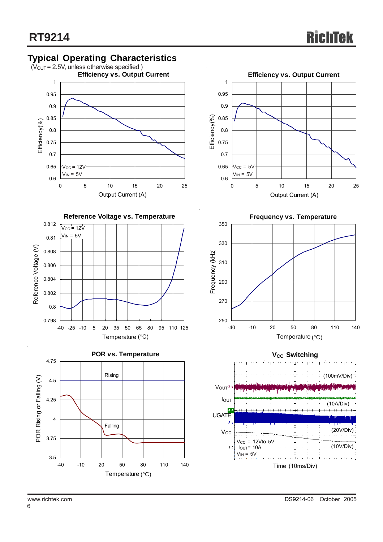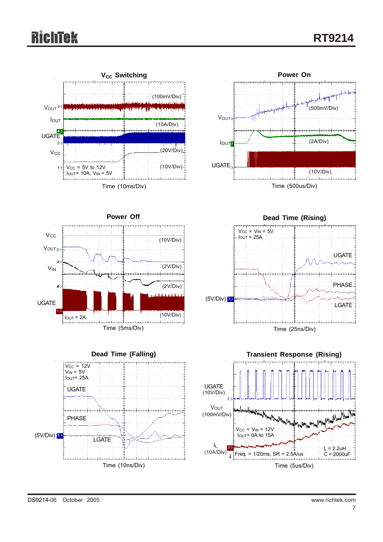# Richtek













DS9214-06 October 2005 www.richtek.com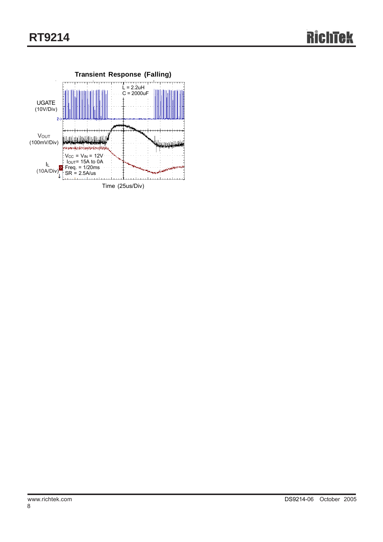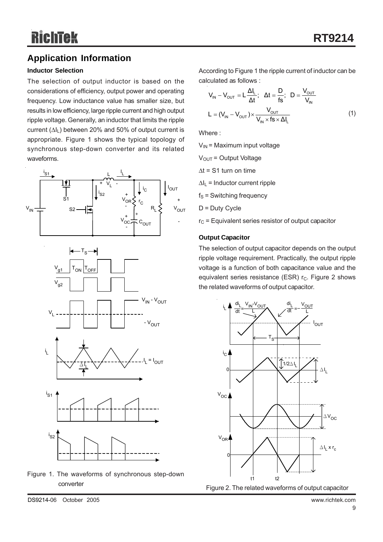### **Application Information**

### **Inductor Selection**

The selection of output inductor is based on the considerations of efficiency, output power and operating frequency. Low inductance value has smaller size, but results in low efficiency, large ripple current and high output ripple voltage. Generally, an inductor that limits the ripple current  $(\Delta I_L)$  between 20% and 50% of output current is appropriate. Figure 1 shows the typical topology of synchronous step-down converter and its related waveforms.











According to Figure 1 the ripple current of inductor can be calculated as follows :

$$
V_{IN} - V_{OUT} = L \frac{\Delta l_L}{\Delta t}; \quad \Delta t = \frac{D}{fs}; \quad D = \frac{V_{OUT}}{V_{IN}}
$$

$$
L = (V_{IN} - V_{OUT}) \times \frac{V_{OUT}}{V_{IN} \times fs \times \Delta l_L}
$$
(1)

Where ·

 $V_{IN}$  = Maximum input voltage

 $V<sub>OUT</sub> = Output Voltage$ 

 $\Delta t$  = S1 turn on time

 $\Delta I_L$  = Inductor current ripple

 $f_S$  = Switching frequency

 $D = D$ uty Cycle

 $r<sub>C</sub>$  = Equivalent series resistor of output capacitor

#### **Output Capacitor**

The selection of output capacitor depends on the output ripple voltage requirement. Practically, the output ripple voltage is a function of both capacitance value and the equivalent series resistance (ESR)  $r_c$ . Figure 2 shows the related waveforms of output capacitor.

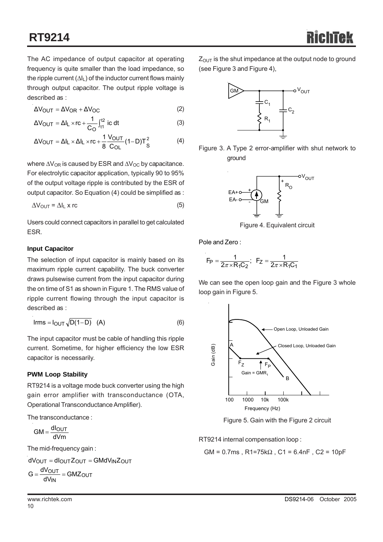The AC impedance of output capacitor at operating frequency is quite smaller than the load impedance, so the ripple current  $(\Delta I_L)$  of the inductor current flows mainly through output capacitor. The output ripple voltage is described as :

$$
\Delta V_{OUT} = \Delta V_{OR} + \Delta V_{OC}
$$
 (2)

$$
\Delta V_{\text{OUT}} = \Delta I_{\text{L}} \times \text{rc} + \frac{1}{C_{\text{O}}} \int_{t_1}^{t_2} \text{ ic dt} \tag{3}
$$

$$
\Delta V_{\text{OUT}} = \Delta I_{\text{L}} \times \Delta I_{\text{L}} \times \text{rc} + \frac{1}{8} \frac{V_{\text{OUT}}}{C_{\text{OL}}} (1 - D) T_{\text{S}}^2 \tag{4}
$$

where  $\Delta V_{OR}$  is caused by ESR and  $\Delta V_{OC}$  by capacitance. For electrolytic capacitor application, typically 90 to 95% of the output voltage ripple is contributed by the ESR of output capacitor. So Equation (4) could be simplified as :

$$
\Delta V_{\text{OUT}} = \Delta I_{\text{L}} \times r\text{c}
$$
 (5)

Users could connect capacitors in parallel to get calculated ESR.

#### **Input Capacitor**

The selection of input capacitor is mainly based on its maximum ripple current capability. The buck converter draws pulsewise current from the input capacitor during the on time of S1 as shown in Figure 1. The RMS value of ripple current flowing through the input capacitor is described as :

$$
Irms = IOUT \sqrt{D(1-D)}
$$
 (A) (6)

The input capacitor must be cable of handling this ripple current. Sometime, for higher efficiency the low ESR capacitor is necessarily.

#### **PWM Loop Stability**

RT9214 is a voltage mode buck converter using the high gain error amplifier with transconductance (OTA, Operational Transconductance Amplifier).

The transconductance :

 $GM = \frac{dl_{\text{OUT}}}{dVm}$ 

The mid-frequency gain :

$$
dV_{OUT} = dl_{OUT}Z_{OUT} = GMdV_{IN}Z_{OUT}
$$

$$
G = \frac{dV_{OUT}}{dV_{IN}} = GMZ_{OUT}
$$

 $Z<sub>OUT</sub>$  is the shut impedance at the output node to ground (see Figure 3 and Figure 4),



Figure 3. A Type 2 error-amplifier with shut network to ground



Figure 4. Equivalent circuit

Pole and Zero :

$$
F_P = \frac{1}{2\pi \times R_1 C_2}
$$
;  $F_Z = \frac{1}{2\pi \times R_1 C_1}$ 

We can see the open loop gain and the Figure 3 whole loop gain in Figure 5.



Figure 5. Gain with the Figure 2 circuit

RT9214 internal compensation loop :

GM =  $0.7$ ms, R1=75kΩ, C1 =  $6.4$ nF, C2 = 10pF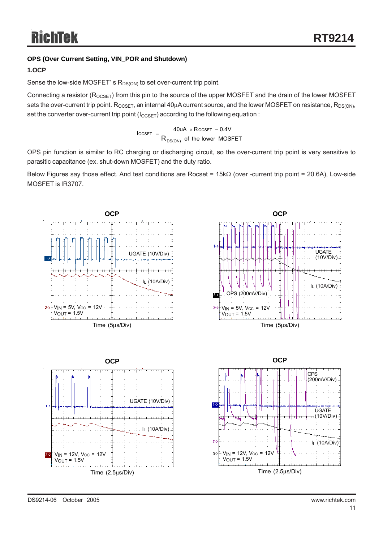### **OPS (Over Current Setting, VIN\_POR and Shutdown)**

### **1.OCP**

Sense the low-side MOSFET's  $R_{DS(ON)}$  to set over-current trip point.

Connecting a resistor ( $R_{OCSET}$ ) from this pin to the source of the upper MOSFET and the drain of the lower MOSFET sets the over-current trip point.  $R_{OCSET}$ , an internal 40 $\mu$ A current source, and the lower MOSFET on resistance,  $R_{DS(ON)}$ , set the converter over-current trip point ( $I_{OCSET}$ ) according to the following equation :

$$
IocSET = \frac{40uA \times RocSET - 0.4V}{R_{DS(ON)}}
$$
 of the lower MOSFET

OPS pin function is similar to RC charging or discharging circuit, so the over-current trip point is very sensitive to parasitic capacitance (ex. shut-down MOSFET) and the duty ratio.

Below Figures say those effect. And test conditions are Rocset = 15kΩ (over -current trip point = 20.6A), Low-side MOSFET is IR3707.

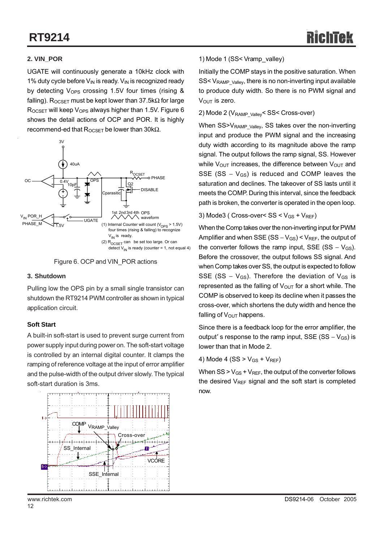### **2. VIN\_POR**

UGATE will continuously generate a 10kHz clock with 1% duty cycle before  $V_{IN}$  is ready.  $V_{IN}$  is recognized ready by detecting  $V_{\text{OPS}}$  crossing 1.5V four times (rising & falling). R<sub>OCSET</sub> must be kept lower than 37.5k $\Omega$  for large  $R_{OCSFT}$  will keep  $V_{OPS}$  always higher than 1.5V. Figure 6 shows the detail actions of OCP and POR. It is highly recommend-ed that  $R_{OCSFT}$  be lower than 30kΩ.





#### **3. Shutdown**

Pulling low the OPS pin by a small single transistor can shutdown the RT9214 PWM controller as shown in typical application circuit.

#### **Soft Start**

A built-in soft-start is used to prevent surge current from power supply input during power on. The soft-start voltage is controlled by an internal digital counter. It clamps the ramping of reference voltage at the input of error amplifier and the pulse-width of the output driver slowly. The typical soft-start duration is 3ms.



### 1) Mode 1 (SS< Vramp\_valley)

Initially the COMP stays in the positive saturation. When SS< V<sub>RAMP\_Valley</sub>, there is no non-inverting input available to produce duty width. So there is no PWM signal and  $V<sub>OUT</sub>$  is zero.

#### 2) Mode 2 (V<sub>RAMP\_Valley</sub>< SS< Cross-over)

When SS>V<sub>RAMP\_Valley</sub>, SS takes over the non-inverting input and produce the PWM signal and the increasing duty width according to its magnitude above the ramp signal. The output follows the ramp signal, SS. However while  $V_{\text{OUT}}$  increases, the difference between  $V_{\text{OUT}}$  and SSE (SS  $-$  V<sub>GS</sub>) is reduced and COMP leaves the saturation and declines. The takeover of SS lasts until it meets the COMP. During this interval, since the feedback path is broken, the converter is operated in the open loop.

#### 3) Mode3 ( Cross-over<  $SS < V_{GS} + V_{REF}$ )

When the Comp takes over the non-inverting input for PWM Amplifier and when SSE (SS –  $V_{GS}$ ) <  $V_{REF}$ , the output of the converter follows the ramp input, SSE (SS –  $V_{GS}$ ). Before the crossover, the output follows SS signal. And when Comp takes over SS, the output is expected to follow SSE (SS –  $V_{GS}$ ). Therefore the deviation of  $V_{GS}$  is represented as the falling of  $V_{\text{OUT}}$  for a short while. The COMP is observed to keep its decline when it passes the cross-over, which shortens the duty width and hence the falling of  $V_{\text{OUT}}$  happens.

Since there is a feedback loop for the error amplifier, the output' s response to the ramp input, SSE (SS –  $V_{GS}$ ) is lower than that in Mode 2.

4) Mode 4 (SS  $>$  V<sub>GS</sub> + V<sub>RFF</sub>)

When  $SS > V_{GS} + V_{REF}$ , the output of the converter follows the desired  $V_{REF}$  signal and the soft start is completed now.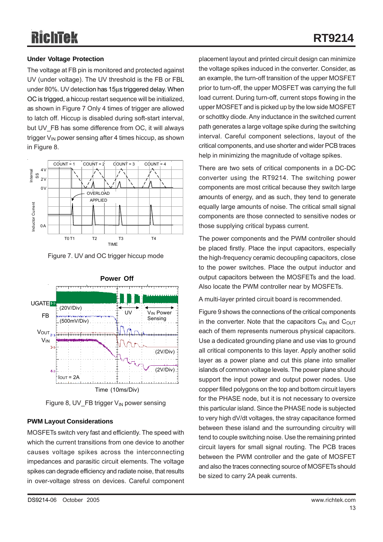# **RT9214**

### **Under Voltage Protection**

The voltage at FB pin is monitored and protected against UV (under voltage). The UV threshold is the FB or FBL under 80%. UV detection has 15μs triggered delay. When OC is trigged, a hiccup restart sequence will be initialized, as shown in Figure 7 Only 4 times of trigger are allowed to latch off. Hiccup is disabled during soft-start interval, but UV\_FB has some difference from OC, it will always trigger  $V_{IN}$  power sensing after 4 times hiccup, as shown in Figure 8.



Figure 7. UV and OC trigger hiccup mode



Figure 8, UV\_FB trigger V<sub>IN</sub> power sensing

### **PWM Layout Considerations**

MOSFETs switch very fast and efficiently. The speed with which the current transitions from one device to another causes voltage spikes across the interconnecting impedances and parasitic circuit elements. The voltage spikes can degrade efficiency and radiate noise, that results in over-voltage stress on devices. Careful component placement layout and printed circuit design can minimize the voltage spikes induced in the converter. Consider, as an example, the turn-off transition of the upper MOSFET prior to turn-off, the upper MOSFET was carrying the full load current. During turn-off, current stops flowing in the upper MOSFET and is picked up by the low side MOSFET or schottky diode. Any inductance in the switched current path generates a large voltage spike during the switching interval. Careful component selections, layout of the critical components, and use shorter and wider PCB traces help in minimizing the magnitude of voltage spikes.

There are two sets of critical components in a DC-DC converter using the RT9214. The switching power components are most critical because they switch large amounts of energy, and as such, they tend to generate equally large amounts of noise. The critical small signal components are those connected to sensitive nodes or those supplying critical bypass current.

The power components and the PWM controller should be placed firstly. Place the input capacitors, especially the high-frequency ceramic decoupling capacitors, close to the power switches. Place the output inductor and output capacitors between the MOSFETs and the load. Also locate the PWM controller near by MOSFETs.

A multi-layer printed circuit board is recommended.

Figure 9 shows the connections of the critical components in the converter. Note that the capacitors  $C_{\text{IN}}$  and  $C_{\text{OUT}}$ each of them represents numerous physical capacitors. Use a dedicated grounding plane and use vias to ground all critical components to this layer. Apply another solid layer as a power plane and cut this plane into smaller islands of common voltage levels. The power plane should support the input power and output power nodes. Use copper filled polygons on the top and bottom circuit layers for the PHASE node, but it is not necessary to oversize this particular island. Since the PHASE node is subjected to very high dV/dt voltages, the stray capacitance formed between these island and the surrounding circuitry will tend to couple switching noise. Use the remaining printed circuit layers for small signal routing. The PCB traces between the PWM controller and the gate of MOSFET and also the traces connecting source of MOSFETs should be sized to carry 2A peak currents.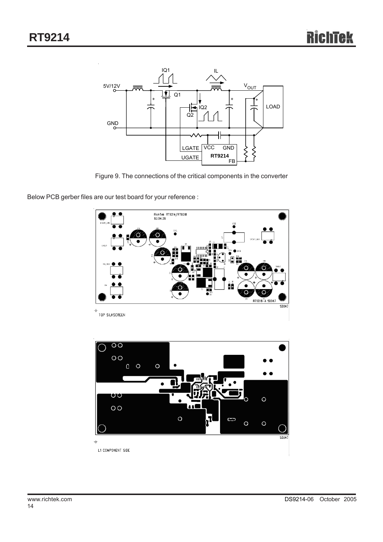

Figure 9. The connections of the critical components in the converter

Below PCB gerber files are our test board for your reference :



 $\circ$ 

 $\circ$ 

 $SDO47$ 

 $\ddot{\phi}$ L1 COMPONENT SIDE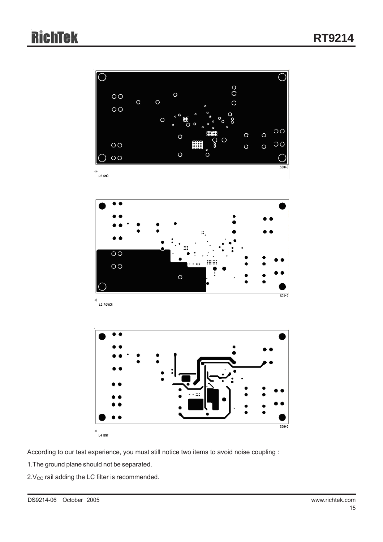

According to our test experience, you must still notice two items to avoid noise coupling :

1.The ground plane should not be separated.

 $2.V<sub>CC</sub>$  rail adding the LC filter is recommended.